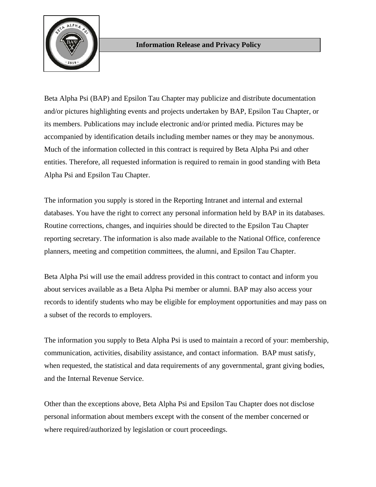

Beta Alpha Psi (BAP) and Epsilon Tau Chapter may publicize and distribute documentation and/or pictures highlighting events and projects undertaken by BAP, Epsilon Tau Chapter, or its members. Publications may include electronic and/or printed media. Pictures may be accompanied by identification details including member names or they may be anonymous. Much of the information collected in this contract is required by Beta Alpha Psi and other entities. Therefore, all requested information is required to remain in good standing with Beta Alpha Psi and Epsilon Tau Chapter.

The information you supply is stored in the Reporting Intranet and internal and external databases. You have the right to correct any personal information held by BAP in its databases. Routine corrections, changes, and inquiries should be directed to the Epsilon Tau Chapter reporting secretary. The information is also made available to the National Office, conference planners, meeting and competition committees, the alumni, and Epsilon Tau Chapter.

Beta Alpha Psi will use the email address provided in this contract to contact and inform you about services available as a Beta Alpha Psi member or alumni. BAP may also access your records to identify students who may be eligible for employment opportunities and may pass on a subset of the records to employers.

The information you supply to Beta Alpha Psi is used to maintain a record of your: membership, communication, activities, disability assistance, and contact information. BAP must satisfy, when requested, the statistical and data requirements of any governmental, grant giving bodies, and the Internal Revenue Service.

Other than the exceptions above, Beta Alpha Psi and Epsilon Tau Chapter does not disclose personal information about members except with the consent of the member concerned or where required/authorized by legislation or court proceedings.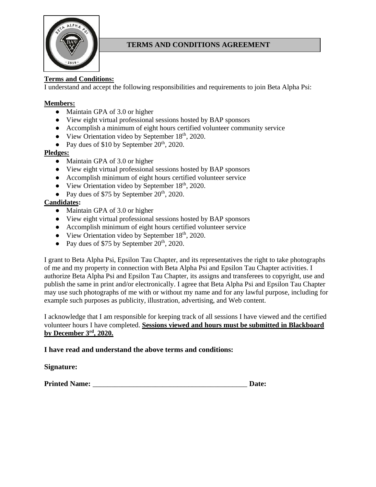

# **TERMS AND CONDITIONS AGREEMENT**

# **Terms and Conditions:**

I understand and accept the following responsibilities and requirements to join Beta Alpha Psi:

### **Members:**

- Maintain GPA of 3.0 or higher
- View eight virtual professional sessions hosted by BAP sponsors
- Accomplish a minimum of eight hours certified volunteer community service
- View Orientation video by September  $18<sup>th</sup>$ , 2020.
- Pay dues of \$10 by September  $20<sup>th</sup>$ , 2020.

#### **Pledges:**

- Maintain GPA of 3.0 or higher
- View eight virtual professional sessions hosted by BAP sponsors
- Accomplish minimum of eight hours certified volunteer service
- View Orientation video by September  $18<sup>th</sup>$ , 2020.
- Pay dues of \$75 by September  $20<sup>th</sup>$ , 2020.

#### **Candidates:**

- Maintain GPA of 3.0 or higher
- View eight virtual professional sessions hosted by BAP sponsors
- Accomplish minimum of eight hours certified volunteer service
- View Orientation video by September 18<sup>th</sup>, 2020.
- Pay dues of \$75 by September  $20<sup>th</sup>$ , 2020.

I grant to Beta Alpha Psi, Epsilon Tau Chapter, and its representatives the right to take photographs of me and my property in connection with Beta Alpha Psi and Epsilon Tau Chapter activities. I authorize Beta Alpha Psi and Epsilon Tau Chapter, its assigns and transferees to copyright, use and publish the same in print and/or electronically. I agree that Beta Alpha Psi and Epsilon Tau Chapter may use such photographs of me with or without my name and for any lawful purpose, including for example such purposes as publicity, illustration, advertising, and Web content.

I acknowledge that I am responsible for keeping track of all sessions I have viewed and the certified volunteer hours I have completed. **Sessions viewed and hours must be submitted in Blackboard by December 3rd , 2020.**

### **I have read and understand the above terms and conditions:**

#### **Signature:**